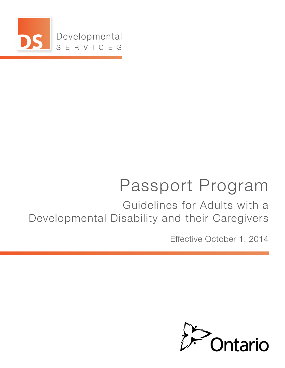

# Passport Program

Guidelines for Adults with a Developmental Disability and their Caregivers

Effective October 1, 2014

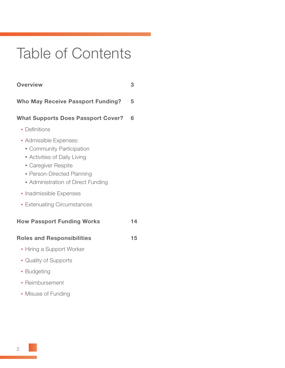# Table of Contents

| <b>Overview</b>                                                                                                                                                                | 3  |
|--------------------------------------------------------------------------------------------------------------------------------------------------------------------------------|----|
| <b>Who May Receive Passport Funding?</b>                                                                                                                                       | 5  |
| <b>What Supports Does Passport Cover?</b>                                                                                                                                      | 6  |
| • Definitions                                                                                                                                                                  |    |
| • Admissible Expenses:<br>• Community Participation<br>• Activities of Daily Living<br>• Caregiver Respite<br>• Person-Directed Planning<br>• Administration of Direct Funding |    |
| • Inadmissible Expenses                                                                                                                                                        |    |
| • Extenuating Circumstances                                                                                                                                                    |    |
| <b>How Passport Funding Works</b>                                                                                                                                              | 14 |
| <b>Roles and Responsibilities</b>                                                                                                                                              | 15 |
| • Hiring a Support Worker                                                                                                                                                      |    |
| • Quality of Supports                                                                                                                                                          |    |
| • Budgeting                                                                                                                                                                    |    |
| • Reimbursement                                                                                                                                                                |    |
| • Misuse of Funding                                                                                                                                                            |    |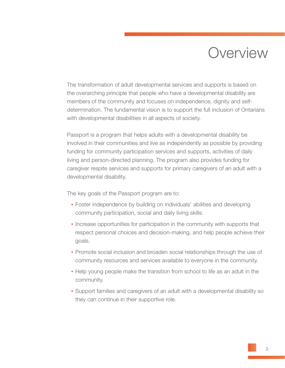## **Overview**

The transformation of adult developmental services and supports is based on the overarching principle that people who have a developmental disability are members of the community and focuses on independence, dignity and selfdetermination. The fundamental vision is to support the full inclusion of Ontarians with developmental disabilities in all aspects of society.

Passport is a program that helps adults with a developmental disability be involved in their communities and live as independently as possible by providing funding for community participation services and supports, activities of daily living and person-directed planning. The program also provides funding for caregiver respite services and supports for primary caregivers of an adult with a developmental disability.

The key goals of the Passport program are to:

- Foster independence by building on individuals' abilities and developing community participation, social and daily living skills.
- Increase opportunities for participation in the community with supports that respect personal choices and decision-making, and help people achieve their goals.
- Promote social inclusion and broaden social relationships through the use of community resources and services available to everyone in the community.
- Help young people make the transition from school to life as an adult in the community.
- Support families and caregivers of an adult with a developmental disability so they can continue in their supportive role.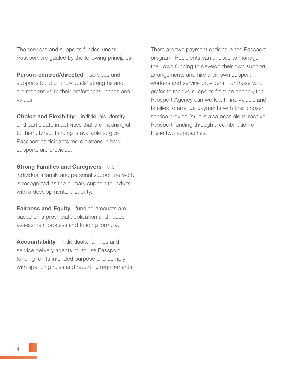The services and supports funded under Passport are guided by the following principles:

Person-centred/directed – services and supports build on individuals' strengths and are responsive to their preferences, needs and values.

**Choice and Flexibility** – individuals identify and participate in activities that are meaningful to them. Direct funding is available to give Passport participants more options in how supports are provided.

**Strong Families and Caregivers - the** 

individual's family and personal support network is recognized as the primary support for adults with a developmental disability.

**Fairness and Equity** - funding amounts are based on a provincial application and needs assessment process and funding formula.

Accountability – individuals, families and service delivery agents must use Passport funding for its intended purpose and comply with spending rules and reporting requirements. There are two payment options in the Passport program. Recipients can choose to manage their own funding to develop their own support arrangements and hire their own support workers and service providers. For those who prefer to receive supports from an agency, the Passport Agency can work with individuals and families to arrange payments with their chosen service provider(s). It is also possible to receive Passport funding through a combination of these two approaches.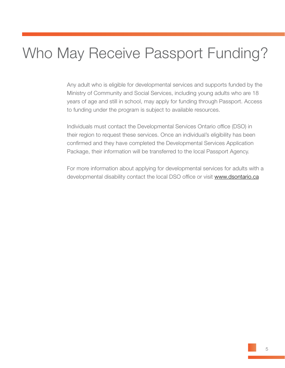# Who May Receive Passport Funding?

Any adult who is eligible for developmental services and supports funded by the Ministry of Community and Social Services, including young adults who are 18 years of age and still in school, may apply for funding through Passport. Access to funding under the program is subject to available resources.

Individuals must contact the Developmental Services Ontario office (DSO) in their region to request these services. Once an individual's eligibility has been confirmed and they have completed the Developmental Services Application Package, their information will be transferred to the local Passport Agency.

For more information about applying for developmental services for adults with a developmental disability contact the local DSO office or visit www.dsontario.ca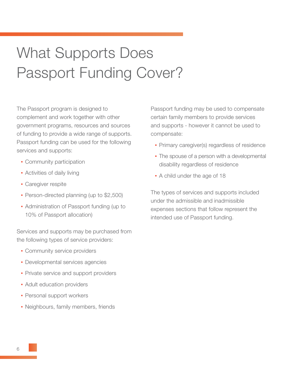# What Supports Does Passport Funding Cover?

The Passport program is designed to complement and work together with other government programs, resources and sources of funding to provide a wide range of supports. Passport funding can be used for the following services and supports:

- Community participation
- **Activities of daily living**
- Caregiver respite
- Person-directed planning (up to \$2,500)
- Administration of Passport funding (up to 10% of Passport allocation)

Services and supports may be purchased from the following types of service providers:

- Community service providers
- **Developmental services agencies**
- **Private service and support providers**
- **Adult education providers**
- Personal support workers
- Neighbours, family members, friends

Passport funding may be used to compensate certain family members to provide services and supports - however it cannot be used to compensate:

- Primary caregiver(s) regardless of residence
- The spouse of a person with a developmental disability regardless of residence
- A child under the age of 18

The types of services and supports included under the admissible and inadmissible expenses sections that follow represent the intended use of Passport funding.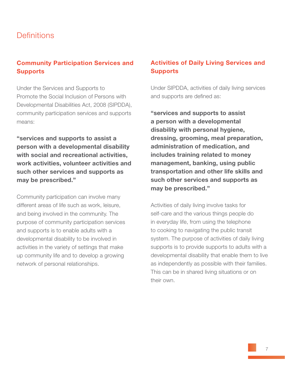## **Definitions**

## Community Participation Services and Supports

Under the Services and Supports to Promote the Social Inclusion of Persons with Developmental Disabilities Act, 2008 (SIPDDA), community participation services and supports means:

"services and supports to assist a person with a developmental disability with social and recreational activities, work activities, volunteer activities and such other services and supports as may be prescribed."

Community participation can involve many different areas of life such as work, leisure, and being involved in the community. The purpose of community participation services and supports is to enable adults with a developmental disability to be involved in activities in the variety of settings that make up community life and to develop a growing network of personal relationships.

#### Activities of Daily Living Services and Supports

Under SIPDDA, activities of daily living services and supports are defined as:

"services and supports to assist a person with a developmental disability with personal hygiene, dressing, grooming, meal preparation, administration of medication, and includes training related to money management, banking, using public transportation and other life skills and such other services and supports as may be prescribed."

Activities of daily living involve tasks for self-care and the various things people do in everyday life, from using the telephone to cooking to navigating the public transit system. The purpose of activities of daily living supports is to provide supports to adults with a developmental disability that enable them to live as independently as possible with their families. This can be in shared living situations or on their own.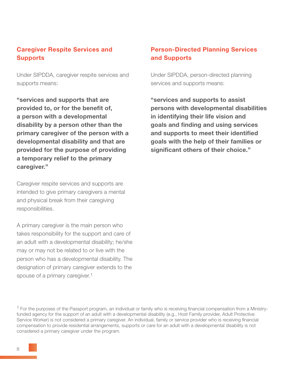#### Caregiver Respite Services and **Supports**

Under SIPDDA, caregiver respite services and supports means:

"services and supports that are provided to, or for the benefit of, a person with a developmental disability by a person other than the primary caregiver of the person with a developmental disability and that are provided for the purpose of providing a temporary relief to the primary caregiver."

Caregiver respite services and supports are intended to give primary caregivers a mental and physical break from their caregiving responsibilities.

A primary caregiver is the main person who takes responsibility for the support and care of an adult with a developmental disability; he/she may or may not be related to or live with the person who has a developmental disability. The designation of primary caregiver extends to the spouse of a primary caregiver.<sup>1</sup>

### Person-Directed Planning Services and Supports

Under SIPDDA, person-directed planning services and supports means:

"services and supports to assist persons with developmental disabilities in identifying their life vision and goals and finding and using services and supports to meet their identified goals with the help of their families or significant others of their choice."

<sup>&</sup>lt;sup>1</sup> For the purposes of the Passport program, an individual or family who is receiving financial compensation from a Ministryfunded agency for the support of an adult with a developmental disability (e.g., Host Family provider, Adult Protective Service Worker) is not considered a primary caregiver. An individual, family or service provider who is receiving financial compensation to provide residential arrangements, supports or care for an adult with a developmental disability is not considered a primary caregiver under the program.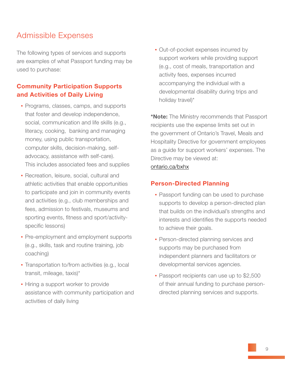## Admissible Expenses

The following types of services and supports are examples of what Passport funding may be used to purchase:

#### Community Participation Supports and Activities of Daily Living

- Programs, classes, camps, and supports that foster and develop independence, social, communication and life skills (e.g., literacy, cooking, banking and managing money, using public transportation, computer skills, decision-making, self advocacy, assistance with self-care). This includes associated fees and supplies
- Recreation, leisure, social, cultural and athletic activities that enable opportunities to participate and join in community events and activities (e.g., club memberships and fees, admission to festivals, museums and sporting events, fitness and sport/activity specific lessons)
- Pre-employment and employment supports (e.g., skills, task and routine training, job coaching)
- Transportation to/from activities (e.g., local transit, mileage, taxis)\*
- **.** Hiring a support worker to provide assistance with community participation and activities of daily living

• Out-of-pocket expenses incurred by support workers while providing support (e.g., cost of meals, transportation and activity fees, expenses incurred accompanying the individual with a developmental disability during trips and holiday travel)\*

\*Note: The Ministry recommends that Passport recipients use the expense limits set out in the government of Ontario's Travel, Meals and Hospitality Directive for government employees as a guide for support workers' expenses. The Directive may be viewed at:

#### [ontario.ca/bxhx](http://www.ontario.ca/government/travel-meal-and-hospitality-expenses-directive-2010?utm_source=shortlinks&utm_medium=web&utm_campaign=bxhx)

#### Person-Directed Planning

- Passport funding can be used to purchase supports to develop a person-directed plan that builds on the individual's strengths and interests and identifies the supports needed to achieve their goals.
- **Person-directed planning services and**  supports may be purchased from independent planners and facilitators or developmental services agencies.
- Passport recipients can use up to \$2,500 of their annual funding to purchase person directed planning services and supports.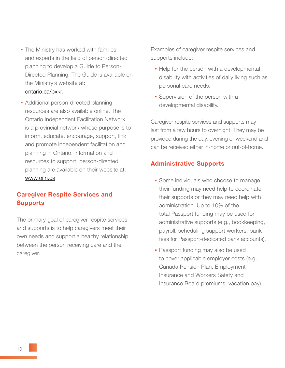- The Ministry has worked with families and experts in the field of person-directed planning to develop a Guide to Person- Directed Planning. The Guide is available on the Ministry's website at: [ontario.ca/bxkr.](http://www.mcss.gov.on.ca/documents/en/mcss/publications/developmental/GuideonPersondirectedPlanningFinal.pdf)
- Additional person-directed planning resources are also available online. The Ontario Independent Facilitation Network is a provincial network whose purpose is to inform, educate, encourage, support, link and promote independent facilitation and planning in Ontario. Information and resources to support person-directed planning are available on their website at: www.oifn.ca

### Caregiver Respite Services and Supports

The primary goal of caregiver respite services and supports is to help caregivers meet their own needs and support a healthy relationship between the person receiving care and the caregiver.

Examples of caregiver respite services and supports include:

- Help for the person with a developmental disability with activities of daily living such as personal care needs.
- **E** Supervision of the person with a developmental disability.

Caregiver respite services and supports may last from a few hours to overnight. They may be provided during the day, evening or weekend and can be received either in-home or out-of-home.

#### Administrative Supports

- **Some individuals who choose to manage**  their funding may need help to coordinate their supports or they may need help with administration. Up to 10% of the total Passport funding may be used for administrative supports (e.g., bookkeeping, payroll, scheduling support workers, bank fees for Passport-dedicated bank accounts).
- Passport funding may also be used to cover applicable employer costs (e.g., Canada Pension Plan, Employment Insurance and Workers Safety and Insurance Board premiums, vacation pay).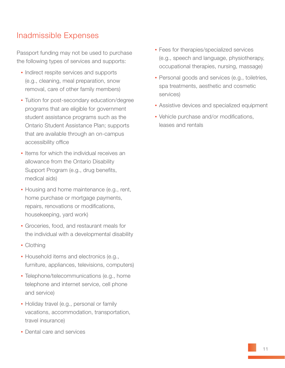## Inadmissible Expenses

Passport funding may not be used to purchase the following types of services and supports:

- **Indirect respite services and supports**  (e.g., cleaning, meal preparation, snow removal, care of other family members)
- **Tuition for post-secondary education/degree**  programs that are eligible for government student assistance programs such as the Ontario Student Assistance Plan; supports that are available through an on-campus accessibility office
- **.** Items for which the individual receives an allowance from the Ontario Disability Support Program (e.g., drug benefits, medical aids)
- Housing and home maintenance (e.g., rent, home purchase or mortgage payments, repairs, renovations or modifications, housekeeping, yard work)
- **Groceries, food, and restaurant meals for** the individual with a developmental disability
- Clothing
- **Household items and electronics (e.g.,** furniture, appliances, televisions, computers)
- Telephone/telecommunications (e.g., home telephone and internet service, cell phone and service)
- **Holiday travel (e.g., personal or family**  vacations, accommodation, transportation, travel insurance)
- Dental care and services
- Fees for therapies/specialized services (e.g., speech and language, physiotherapy, occupational therapies, nursing, massage)
- Personal goods and services (e.g., toiletries, spa treatments, aesthetic and cosmetic services)
- **EXECUTE:** Assistive devices and specialized equipment
- Vehicle purchase and/or modifications, leases and rentals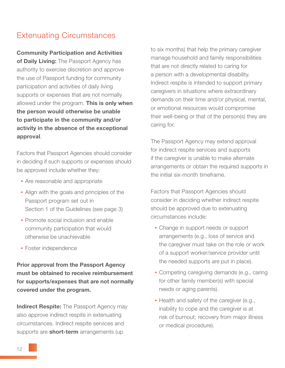## Extenuating Circumstances

Community Participation and Activities of Daily Living: The Passport Agency has authority to exercise discretion and approve the use of Passport funding for community participation and activities of daily living supports or expenses that are not normally allowed under the program. This is only when the person would otherwise be unable to participate in the community and/or activity in the absence of the exceptional approval.

Factors that Passport Agencies should consider in deciding if such supports or expenses should be approved include whether they:

- **Are reasonable and appropriate**
- Align with the goals and principles of the Passport program set out in Section 1 of the Guidelines (see page 3)
- **Promote social inclusion and enable**  community participation that would otherwise be unachievable
- **Foster independence**

Prior approval from the Passport Agency must be obtained to receive reimbursement for supports/expenses that are not normally covered under the program.

**Indirect Respite:** The Passport Agency may also approve indirect respite in extenuating circumstances. Indirect respite services and supports are **short-term** arrangements (up

to six months) that help the primary caregiver manage household and family responsibilities that are not directly related to caring for a person with a developmental disability. Indirect respite is intended to support primary caregivers in situations where extraordinary demands on their time and/or physical, mental, or emotional resources would compromise their well-being or that of the person(s) they are caring for.

The Passport Agency may extend approval for indirect respite services and supports if the caregiver is unable to make alternate arrangements or obtain the required supports in the initial six-month timeframe.

Factors that Passport Agencies should consider in deciding whether indirect respite should be approved due to extenuating circumstances include:

- Change in support needs or support arrangements (e.g., loss of service and the caregiver must take on the role or work of a support worker/service provider until the needed supports are put in place).
- Competing caregiving demands (e.g., caring for other family member(s) with special needs or aging parents).
- Health and safety of the caregiver (e.g., inability to cope and the caregiver is at risk of burnout; recovery from major illness or medical procedure).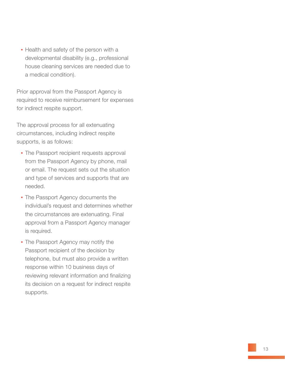**.** Health and safety of the person with a developmental disability (e.g., professional house cleaning services are needed due to a medical condition).

Prior approval from the Passport Agency is required to receive reimbursement for expenses for indirect respite support.

The approval process for all extenuating circumstances, including indirect respite supports, is as follows:

- The Passport recipient requests approval from the Passport Agency by phone, mail or email. The request sets out the situation and type of services and supports that are needed.
- The Passport Agency documents the individual's request and determines whether the circumstances are extenuating. Final approval from a Passport Agency manager is required.
- **The Passport Agency may notify the**  Passport recipient of the decision by telephone, but must also provide a written response within 10 business days of reviewing relevant information and finalizing its decision on a request for indirect respite supports.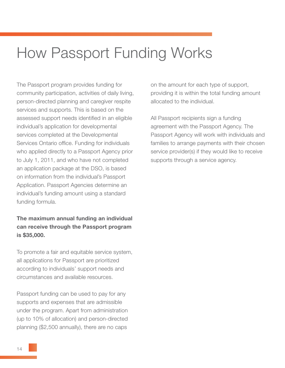# How Passport Funding Works

The Passport program provides funding for community participation, activities of daily living, person-directed planning and caregiver respite services and supports. This is based on the assessed support needs identified in an eligible individual's application for developmental services completed at the Developmental Services Ontario office. Funding for individuals who applied directly to a Passport Agency prior to July 1, 2011, and who have not completed an application package at the DSO, is based on information from the individual's Passport Application. Passport Agencies determine an individual's funding amount using a standard funding formula.

#### The maximum annual funding an individual can receive through the Passport program is \$35,000.

To promote a fair and equitable service system, all applications for Passport are prioritized according to individuals' support needs and circumstances and available resources.

Passport funding can be used to pay for any supports and expenses that are admissible under the program. Apart from administration (up to 10% of allocation) and person-directed planning (\$2,500 annually), there are no caps

on the amount for each type of support, providing it is within the total funding amount allocated to the individual.

All Passport recipients sign a funding agreement with the Passport Agency. The Passport Agency will work with individuals and families to arrange payments with their chosen service provider(s) if they would like to receive supports through a service agency.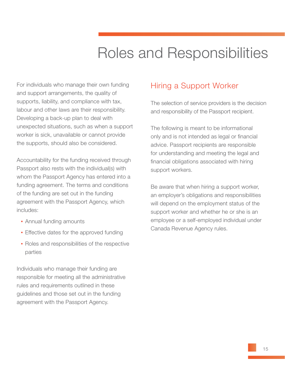# Roles and Responsibilities

For individuals who manage their own funding and support arrangements, the quality of supports, liability, and compliance with tax, labour and other laws are their responsibility. Developing a back-up plan to deal with unexpected situations, such as when a support worker is sick, unavailable or cannot provide the supports, should also be considered.

Accountability for the funding received through Passport also rests with the individual(s) with whom the Passport Agency has entered into a funding agreement. The terms and conditions of the funding are set out in the funding agreement with the Passport Agency, which includes:

- Annual funding amounts
- **Effective dates for the approved funding**
- Roles and responsibilities of the respective parties

Individuals who manage their funding are responsible for meeting all the administrative rules and requirements outlined in these guidelines and those set out in the funding agreement with the Passport Agency.

## Hiring a Support Worker

The selection of service providers is the decision and responsibility of the Passport recipient.

The following is meant to be informational only and is not intended as legal or financial advice. Passport recipients are responsible for understanding and meeting the legal and financial obligations associated with hiring support workers.

Be aware that when hiring a support worker, an employer's obligations and responsibilities will depend on the employment status of the support worker and whether he or she is an employee or a self-employed individual under Canada Revenue Agency rules.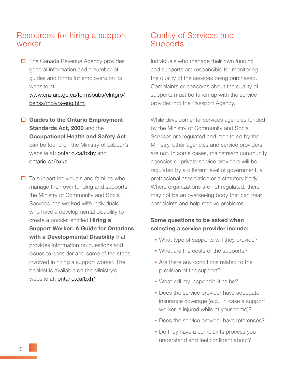## Resources for hiring a support worker

 $\Box$  The Canada Revenue Agency provides general information and a number of guides and forms for employers on its website at:

#### www.cra-arc.gc.ca/formspubs/clntgrp/ bsnss/mplyrs-eng.html

- $\Box$  Guides to the Ontario Employment Standards Act, 2000 and the Occupational Health and Safety Act can be found on the Ministry of Labour's website at: **ontario.ca/bxhy** and [ontario.ca/bxks](http://www.labour.gov.on.ca/english/hs/pdf/ohsa_guide.pdf)
- $\Box$  To support individuals and families who manage their own funding and supports, the Ministry of Community and Social Services has worked with individuals who have a developmental disability to create a booklet entitled **Hiring a**  Support Worker: A Guide for Ontarians with a Developmental Disability that provides information on questions and issues to consider and some of the steps involved in hiring a support worker. The booklet is available on the Ministry's website at: [ontario.ca/bxh1](http://www.mcss.gov.on.ca/documents/en/mcss/publications/developmental/HiringSupportWorker.pdf)

## Quality of Services and **Supports**

Individuals who manage their own funding and supports are responsible for monitoring the quality of the services being purchased. Complaints or concerns about the quality of supports must be taken up with the service provider, not the Passport Agency.

While developmental services agencies funded by the Ministry of Community and Social Services are regulated and monitored by the Ministry, other agencies and service providers are not. In some cases, mainstream community agencies or private service providers will be regulated by a different level of government, a professional association or a statutory body. Where organizations are not regulated, there may not be an overseeing body that can hear complaints and help resolve problems.

#### Some questions to be asked when selecting a service provider include:

- What type of supports will they provide?
- What are the costs of the supports?
- Are there any conditions related to the provision of the support?
- What will my responsibilities be?
- Does the service provider have adequate insurance coverage (e.g., in case a support worker is injured while at your home)?
- **Does the service provider have references?**
- Do they have a complaints process you understand and feel confident about?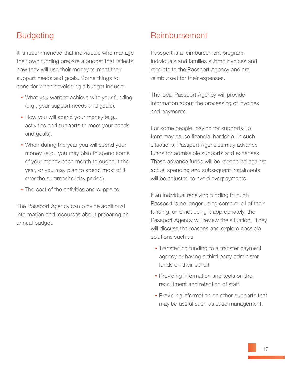## **Budgeting**

It is recommended that individuals who manage their own funding prepare a budget that reflects how they will use their money to meet their support needs and goals. Some things to consider when developing a budget include:

- What you want to achieve with your funding (e.g., your support needs and goals).
- **How you will spend your money (e.g.,**  activities and supports to meet your needs and goals).
- When during the year you will spend your money. (e.g., you may plan to spend some of your money each month throughout the year, or you may plan to spend most of it over the summer holiday period).
- The cost of the activities and supports.

The Passport Agency can provide additional information and resources about preparing an annual budget.

## Reimbursement

Passport is a reimbursement program. Individuals and families submit invoices and receipts to the Passport Agency and are reimbursed for their expenses.

The local Passport Agency will provide information about the processing of invoices and payments.

For some people, paying for supports up front may cause financial hardship. In such situations, Passport Agencies may advance funds for admissible supports and expenses. These advance funds will be reconciled against actual spending and subsequent instalments will be adjusted to avoid overpayments.

If an individual receiving funding through Passport is no longer using some or all of their funding, or is not using it appropriately, the Passport Agency will review the situation. They will discuss the reasons and explore possible solutions such as:

- Transferring funding to a transfer payment agency or having a third party administer funds on their behalf.
- **Providing information and tools on the** recruitment and retention of staff.
- Providing information on other supports that may be useful such as case-management.